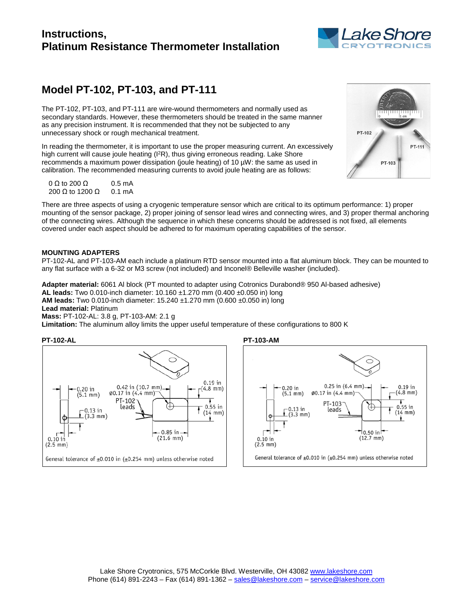## **Instructions, Platinum Resistance Thermometer Installation**



# **Model PT-102, PT-103, and PT-111**

The PT-102, PT-103, and PT-111 are wire-wound thermometers and normally used as secondary standards. However, these thermometers should be treated in the same manner as any precision instrument. It is recommended that they not be subjected to any unnecessary shock or rough mechanical treatment.

In reading the thermometer, it is important to use the proper measuring current. An excessively high current will cause joule heating  $(I^2R)$ , thus giving erroneous reading. Lake Shore recommends a maximum power dissipation (joule heating) of 10 µW: the same as used in calibration. The recommended measuring currents to avoid joule heating are as follows:

| $0 \Omega$ to 200 $\Omega$    | $0.5 \text{ mA}$ |
|-------------------------------|------------------|
| 200 $\Omega$ to 1200 $\Omega$ | $0.1 \text{ mA}$ |

There are three aspects of using a cryogenic temperature sensor which are critical to its optimum performance: 1) proper mounting of the sensor package, 2) proper joining of sensor lead wires and connecting wires, and 3) proper thermal anchoring of the connecting wires. Although the sequence in which these concerns should be addressed is not fixed, all elements covered under each aspect should be adhered to for maximum operating capabilities of the sensor.

### **MOUNTING ADAPTERS**

PT-102-AL and PT-103-AM each include a platinum RTD sensor mounted into a flat aluminum block. They can be mounted to any flat surface with a 6-32 or M3 screw (not included) and Inconel® Belleville washer (included).

**Adapter material:** 6061 Al block (PT mounted to adapter using Cotronics Durabond® 950 Al-based adhesive) **AL leads:** Two 0.010-inch diameter: 10.160 ±1.270 mm (0.400 ±0.050 in) long **AM leads:** Two 0.010-inch diameter: 15.240 ±1.270 mm (0.600 ±0.050 in) long **Lead material:** Platinum **Mass:** PT-102-AL: 3.8 g, PT-103-AM: 2.1 g

**Limitation:** The aluminum alloy limits the upper useful temperature of these configurations to 800 K





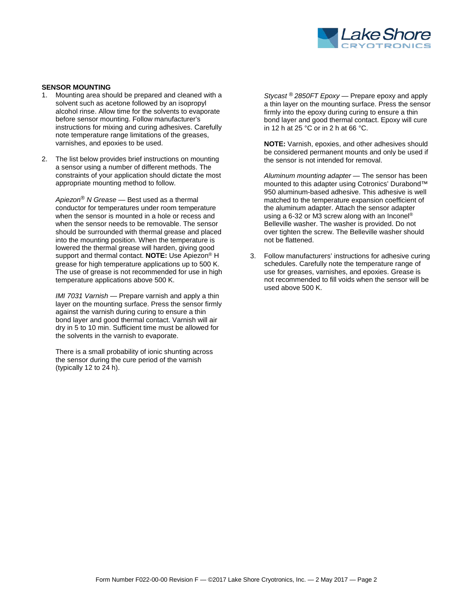

#### **SENSOR MOUNTING**

- 1. Mounting area should be prepared and cleaned with a solvent such as acetone followed by an isopropyl alcohol rinse. Allow time for the solvents to evaporate before sensor mounting. Follow manufacturer's instructions for mixing and curing adhesives. Carefully note temperature range limitations of the greases, varnishes, and epoxies to be used.
- 2. The list below provides brief instructions on mounting a sensor using a number of different methods. The constraints of your application should dictate the most appropriate mounting method to follow.

*Apiezon® N Grease* — Best used as a thermal conductor for temperatures under room temperature when the sensor is mounted in a hole or recess and when the sensor needs to be removable. The sensor should be surrounded with thermal grease and placed into the mounting position. When the temperature is lowered the thermal grease will harden, giving good support and thermal contact. **NOTE:** Use Apiezon® H grease for high temperature applications up to 500 K. The use of grease is not recommended for use in high temperature applications above 500 K.

*IMI 7031 Varnish* — Prepare varnish and apply a thin layer on the mounting surface. Press the sensor firmly against the varnish during curing to ensure a thin bond layer and good thermal contact. Varnish will air dry in 5 to 10 min. Sufficient time must be allowed for the solvents in the varnish to evaporate.

There is a small probability of ionic shunting across the sensor during the cure period of the varnish (typically 12 to 24 h).

*Stycast ® 2850FT Epoxy* — Prepare epoxy and apply a thin layer on the mounting surface. Press the sensor firmly into the epoxy during curing to ensure a thin bond layer and good thermal contact. Epoxy will cure in 12 h at 25 °C or in 2 h at 66 °C.

**NOTE:** Varnish, epoxies, and other adhesives should be considered permanent mounts and only be used if the sensor is not intended for removal.

*Aluminum mounting adapter* — The sensor has been mounted to this adapter using Cotronics' Durabond™ 950 aluminum-based adhesive. This adhesive is well matched to the temperature expansion coefficient of the aluminum adapter. Attach the sensor adapter using a 6-32 or M3 screw along with an Inconel® Belleville washer. The washer is provided. Do not over tighten the screw. The Belleville washer should not be flattened.

3. Follow manufacturers' instructions for adhesive curing schedules. Carefully note the temperature range of use for greases, varnishes, and epoxies. Grease is not recommended to fill voids when the sensor will be used above 500 K.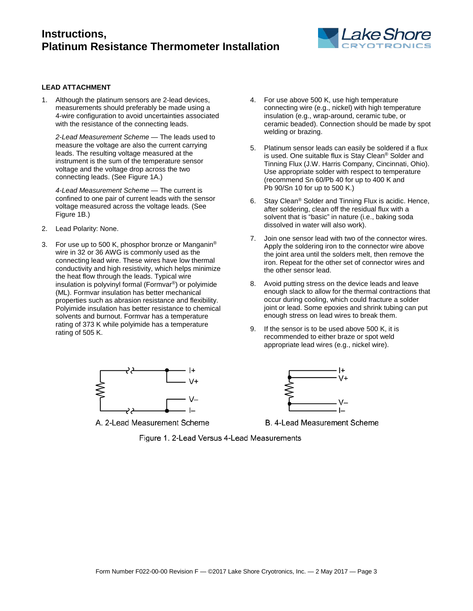## **Instructions, Platinum Resistance Thermometer Installation**



## **LEAD ATTACHMENT**

1. Although the platinum sensors are 2-lead devices, measurements should preferably be made using a 4-wire configuration to avoid uncertainties associated with the resistance of the connecting leads.

*2-Lead Measurement Scheme* — The leads used to measure the voltage are also the current carrying leads. The resulting voltage measured at the instrument is the sum of the temperature sensor voltage and the voltage drop across the two connecting leads. (See Figure 1A.)

*4-Lead Measurement Scheme* — The current is confined to one pair of current leads with the sensor voltage measured across the voltage leads. (See Figure 1B.)

- 2. Lead Polarity: None.
- 3. For use up to 500 K, phosphor bronze or Manganin<sup>®</sup> wire in 32 or 36 AWG is commonly used as the connecting lead wire. These wires have low thermal conductivity and high resistivity, which helps minimize the heat flow through the leads. Typical wire insulation is polyvinyl formal (Formvar®) or polyimide (ML). Formvar insulation has better mechanical properties such as abrasion resistance and flexibility. Polyimide insulation has better resistance to chemical solvents and burnout. Formvar has a temperature rating of 373 K while polyimide has a temperature rating of 505 K.



A. 2-Lead Measurement Scheme

- 4. For use above 500 K, use high temperature connecting wire (e.g., nickel) with high temperature insulation (e.g., wrap-around, ceramic tube, or ceramic beaded). Connection should be made by spot welding or brazing.
- 5. Platinum sensor leads can easily be soldered if a flux is used. One suitable flux is Stay Clean® Solder and Tinning Flux (J.W. Harris Company, Cincinnati, Ohio). Use appropriate solder with respect to temperature (recommend Sn 60/Pb 40 for up to 400 K and Pb 90/Sn 10 for up to 500 K.)
- 6. Stay Clean® Solder and Tinning Flux is acidic. Hence, after soldering, clean off the residual flux with a solvent that is "basic" in nature (i.e., baking soda dissolved in water will also work).
- 7. Join one sensor lead with two of the connector wires. Apply the soldering iron to the connector wire above the joint area until the solders melt, then remove the iron. Repeat for the other set of connector wires and the other sensor lead.
- 8. Avoid putting stress on the device leads and leave enough slack to allow for the thermal contractions that occur during cooling, which could fracture a solder joint or lead. Some epoxies and shrink tubing can put enough stress on lead wires to break them.
- 9. If the sensor is to be used above 500 K, it is recommended to either braze or spot weld appropriate lead wires (e.g., nickel wire).



B. 4-Lead Measurement Scheme

Figure 1. 2-Lead Versus 4-Lead Measurements